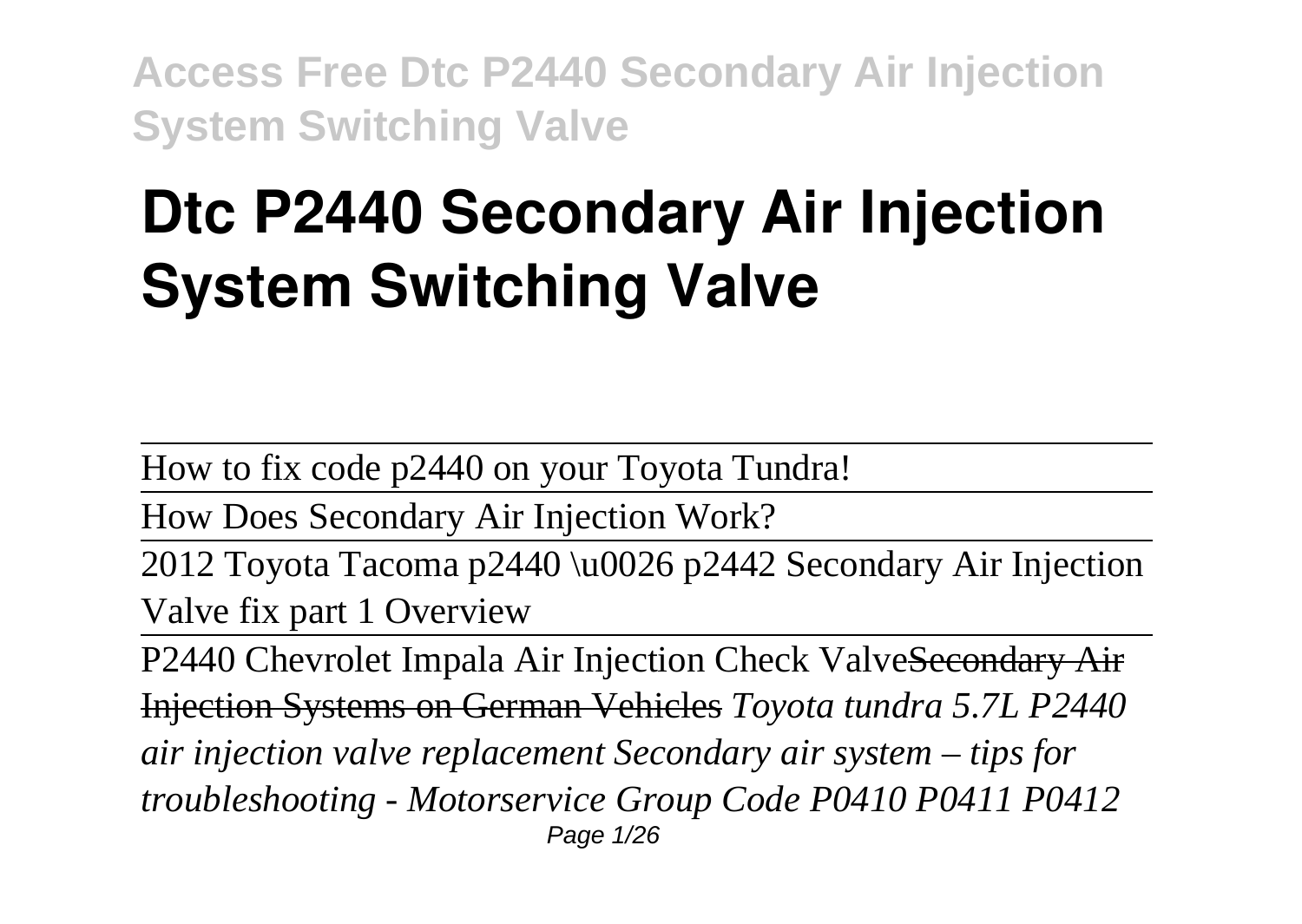# **Dtc P2440 Secondary Air Injection System Switching Valve**

How to fix code p2440 on your Toyota Tundra!

How Does Secondary Air Injection Work?

2012 Toyota Tacoma p2440 \u0026 p2442 Secondary Air Injection Valve fix part 1 Overview

P2440 Chevrolet Impala Air Injection Check ValveSecondary Air Injection Systems on German Vehicles *Toyota tundra 5.7L P2440 air injection valve replacement Secondary air system – tips for troubleshooting - Motorservice Group Code P0410 P0411 P0412* Page 1/26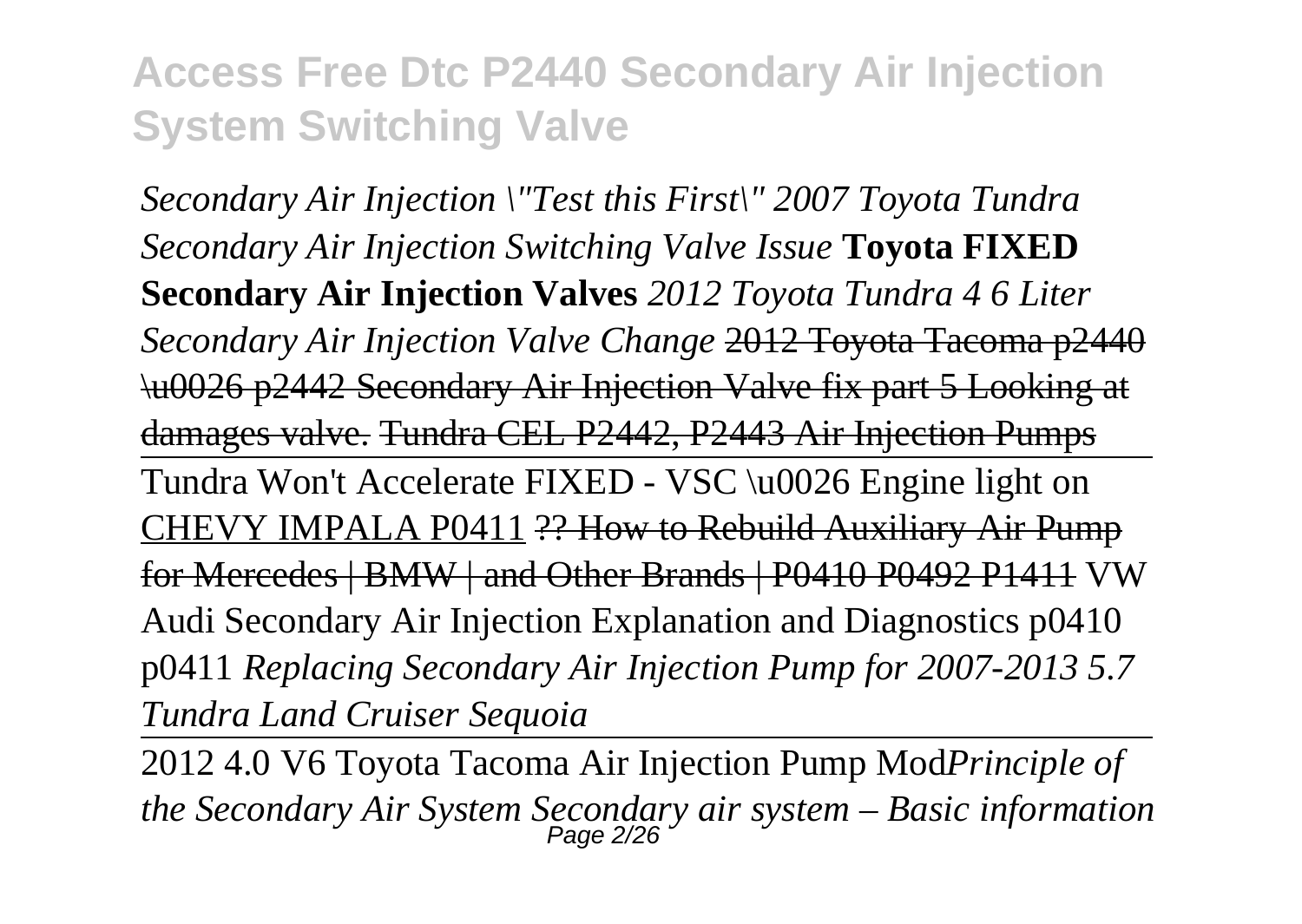*Secondary Air Injection \"Test this First\" 2007 Toyota Tundra Secondary Air Injection Switching Valve Issue* **Toyota FIXED Secondary Air Injection Valves** *2012 Toyota Tundra 4 6 Liter Secondary Air Injection Valve Change* 2012 Toyota Tacoma p2440 \u0026 p2442 Secondary Air Injection Valve fix part 5 Looking at damages valve. Tundra CEL P2442, P2443 Air Injection Pumps Tundra Won't Accelerate FIXED - VSC \u0026 Engine light on CHEVY IMPALA P0411 ?? How to Rebuild Auxiliary Air Pump for Mercedes | BMW | and Other Brands | P0410 P0492 P1411 VW Audi Secondary Air Injection Explanation and Diagnostics p0410 p0411 *Replacing Secondary Air Injection Pump for 2007-2013 5.7 Tundra Land Cruiser Sequoia*

2012 4.0 V6 Toyota Tacoma Air Injection Pump Mod*Principle of the Secondary Air System Secondary air system – Basic information* Page 2/26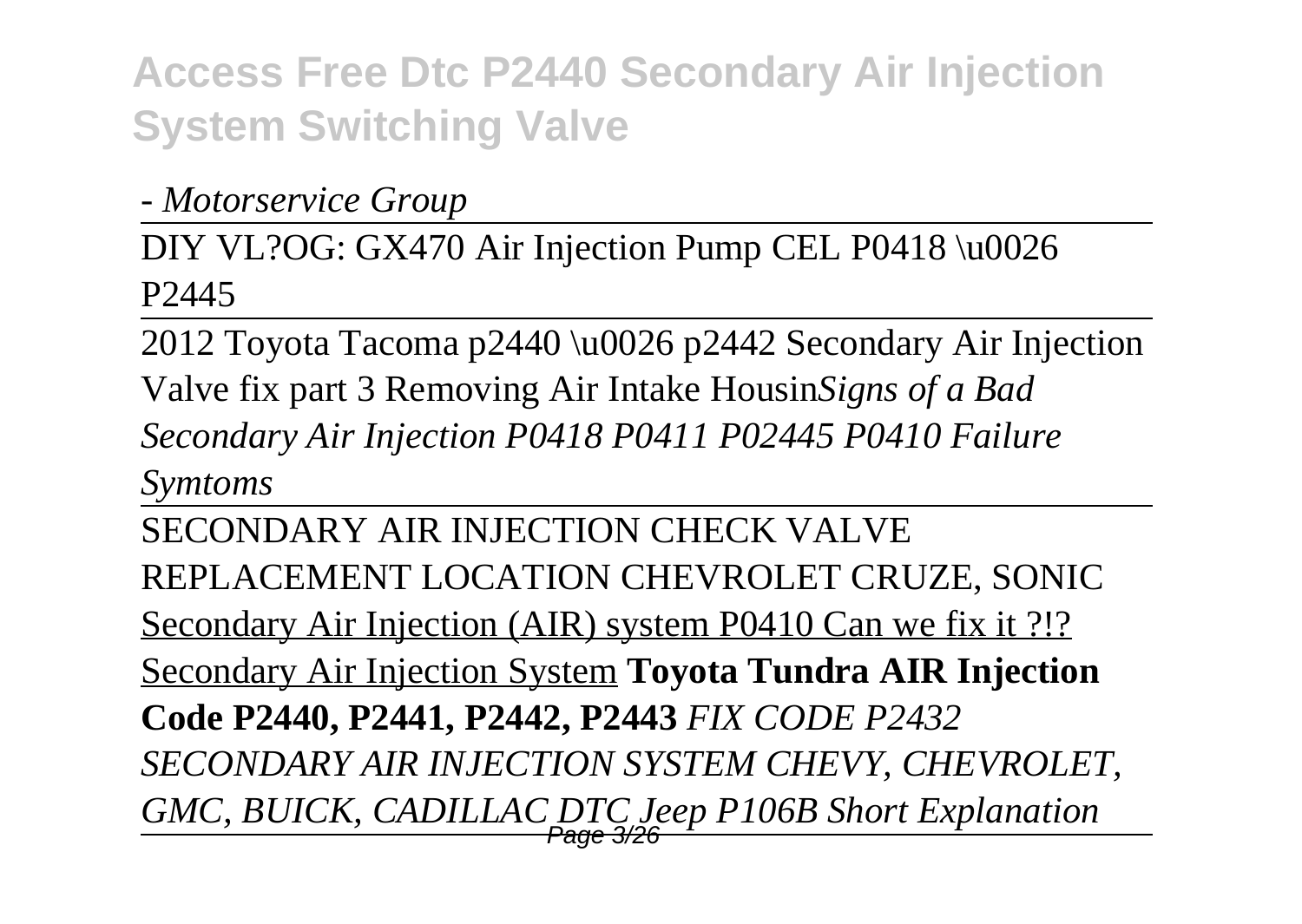*- Motorservice Group*

DIY VL?OG: GX470 Air Injection Pump CEL P0418 \u0026 P2445

2012 Toyota Tacoma p2440 \u0026 p2442 Secondary Air Injection Valve fix part 3 Removing Air Intake Housin*Signs of a Bad Secondary Air Injection P0418 P0411 P02445 P0410 Failure Symtoms*

SECONDARY AIR INJECTION CHECK VALVE REPLACEMENT LOCATION CHEVROLET CRUZE, SONIC Secondary Air Injection (AIR) system P0410 Can we fix it ?!? Secondary Air Injection System **Toyota Tundra AIR Injection Code P2440, P2441, P2442, P2443** *FIX CODE P2432 SECONDARY AIR INJECTION SYSTEM CHEVY, CHEVROLET, GMC, BUICK, CADILLAC DTC Jeep P106B Short Explanation* Page 3/26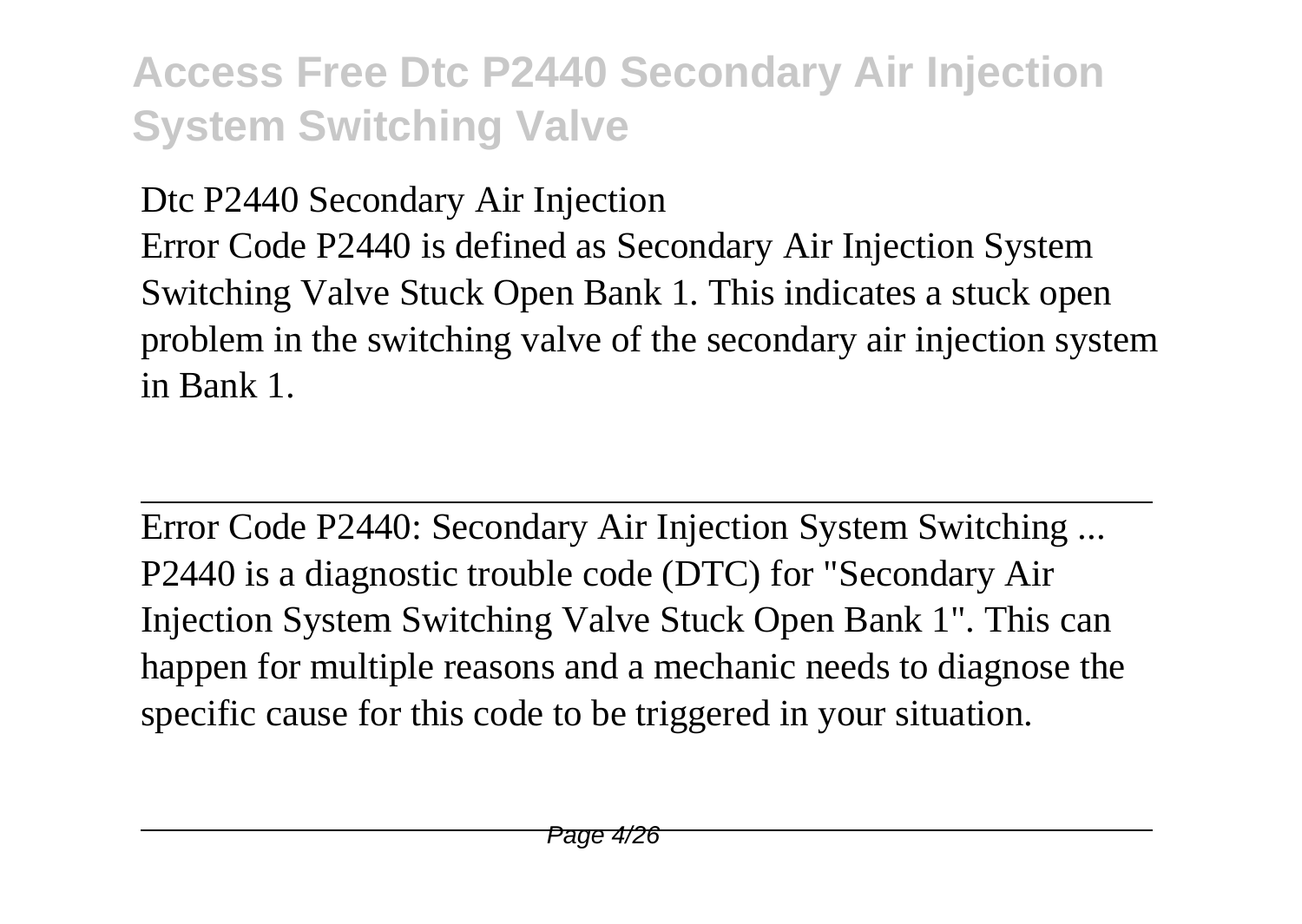Dtc P2440 Secondary Air Injection

Error Code P2440 is defined as Secondary Air Injection System Switching Valve Stuck Open Bank 1. This indicates a stuck open problem in the switching valve of the secondary air injection system in Bank 1.

Error Code P2440: Secondary Air Injection System Switching ... P2440 is a diagnostic trouble code (DTC) for "Secondary Air Injection System Switching Valve Stuck Open Bank 1". This can happen for multiple reasons and a mechanic needs to diagnose the specific cause for this code to be triggered in your situation.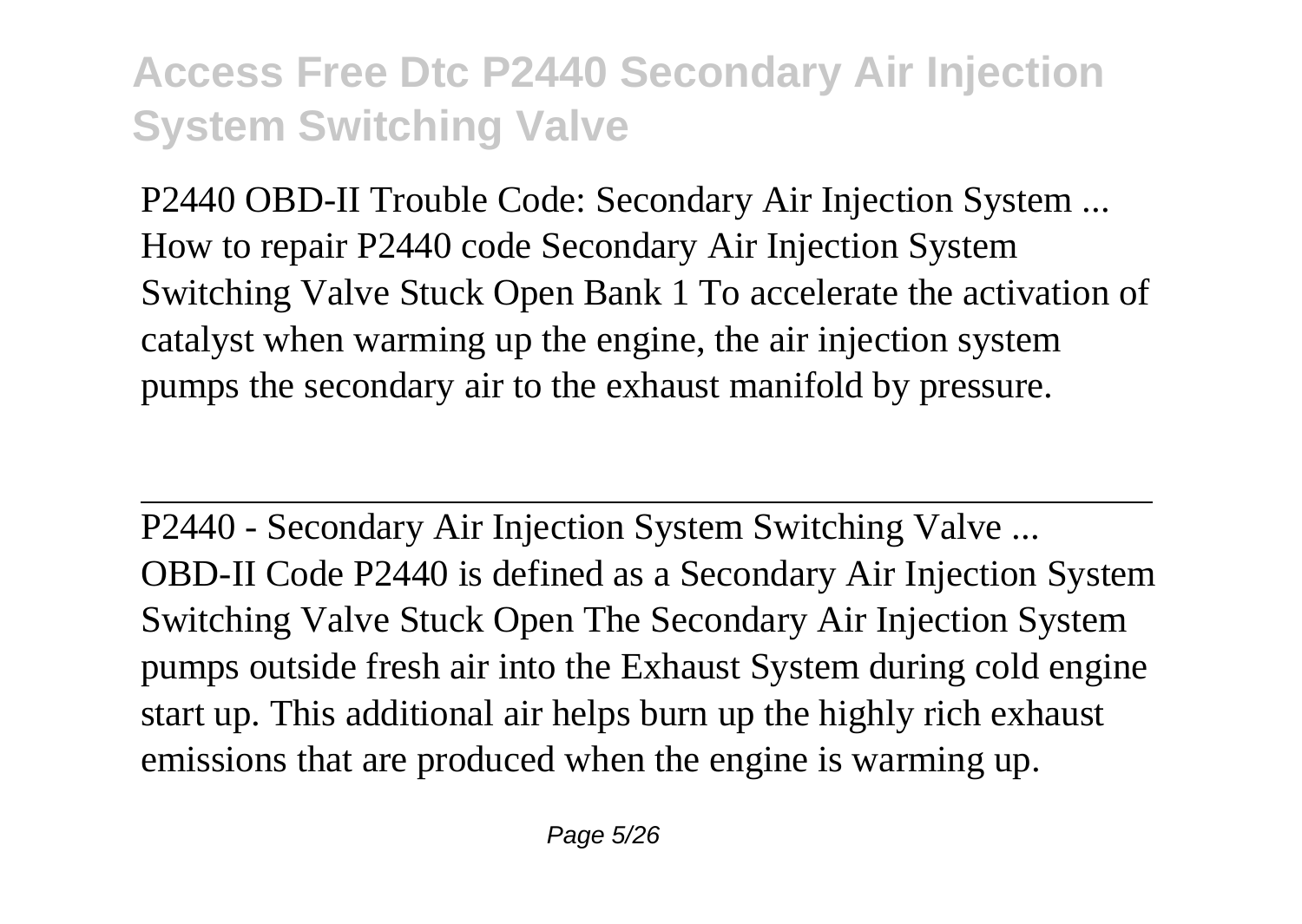P2440 OBD-II Trouble Code: Secondary Air Injection System ... How to repair P2440 code Secondary Air Injection System Switching Valve Stuck Open Bank 1 To accelerate the activation of catalyst when warming up the engine, the air injection system pumps the secondary air to the exhaust manifold by pressure.

P2440 - Secondary Air Injection System Switching Valve ... OBD-II Code P2440 is defined as a Secondary Air Injection System Switching Valve Stuck Open The Secondary Air Injection System pumps outside fresh air into the Exhaust System during cold engine start up. This additional air helps burn up the highly rich exhaust emissions that are produced when the engine is warming up.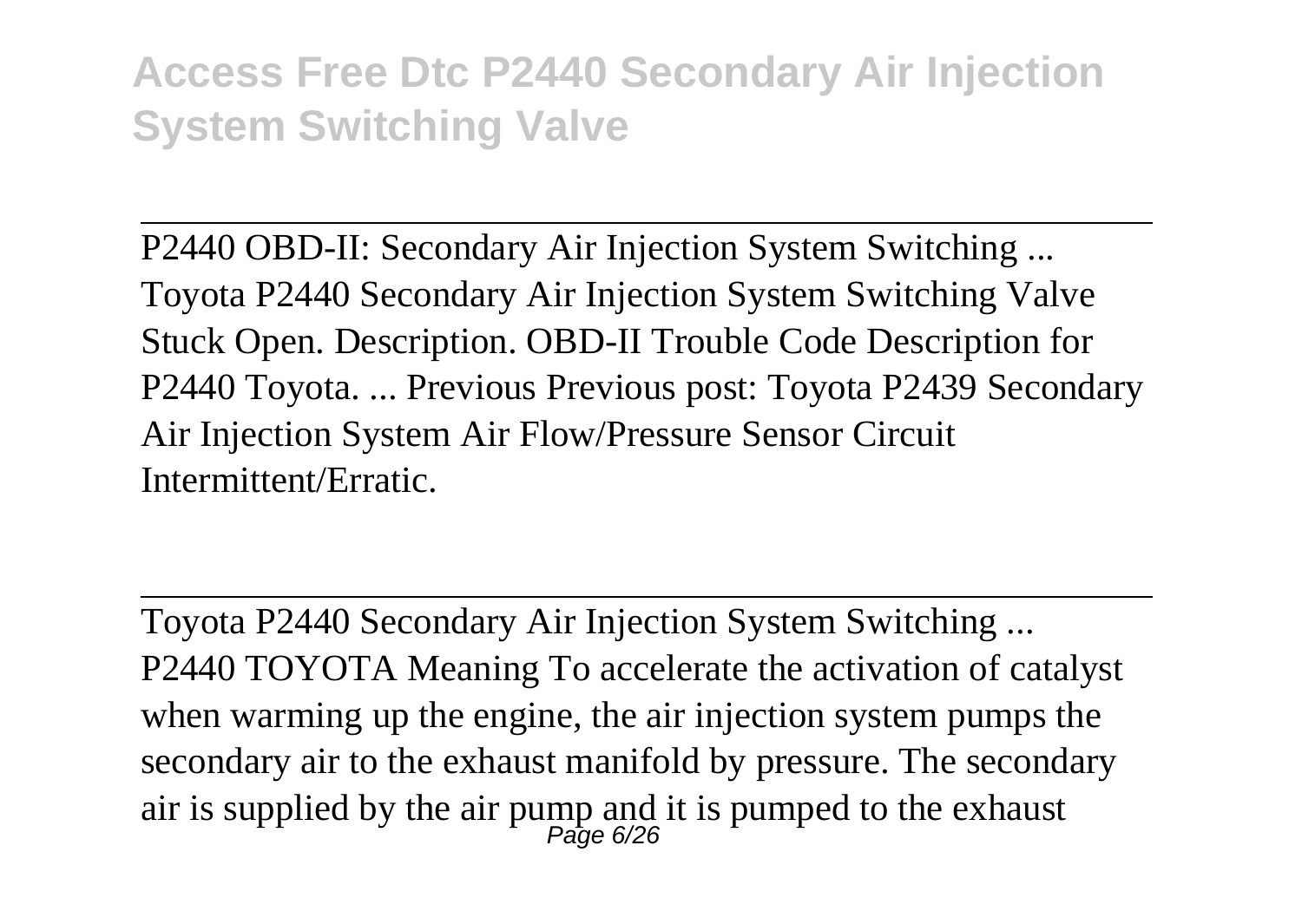P2440 OBD-II: Secondary Air Injection System Switching ... Toyota P2440 Secondary Air Injection System Switching Valve Stuck Open. Description. OBD-II Trouble Code Description for P2440 Toyota. ... Previous Previous post: Toyota P2439 Secondary Air Injection System Air Flow/Pressure Sensor Circuit Intermittent/Erratic.

Toyota P2440 Secondary Air Injection System Switching ... P2440 TOYOTA Meaning To accelerate the activation of catalyst when warming up the engine, the air injection system pumps the secondary air to the exhaust manifold by pressure. The secondary air is supplied by the air pump and it is pumped to the exhaust<br> $P_{\text{age 6/26}}$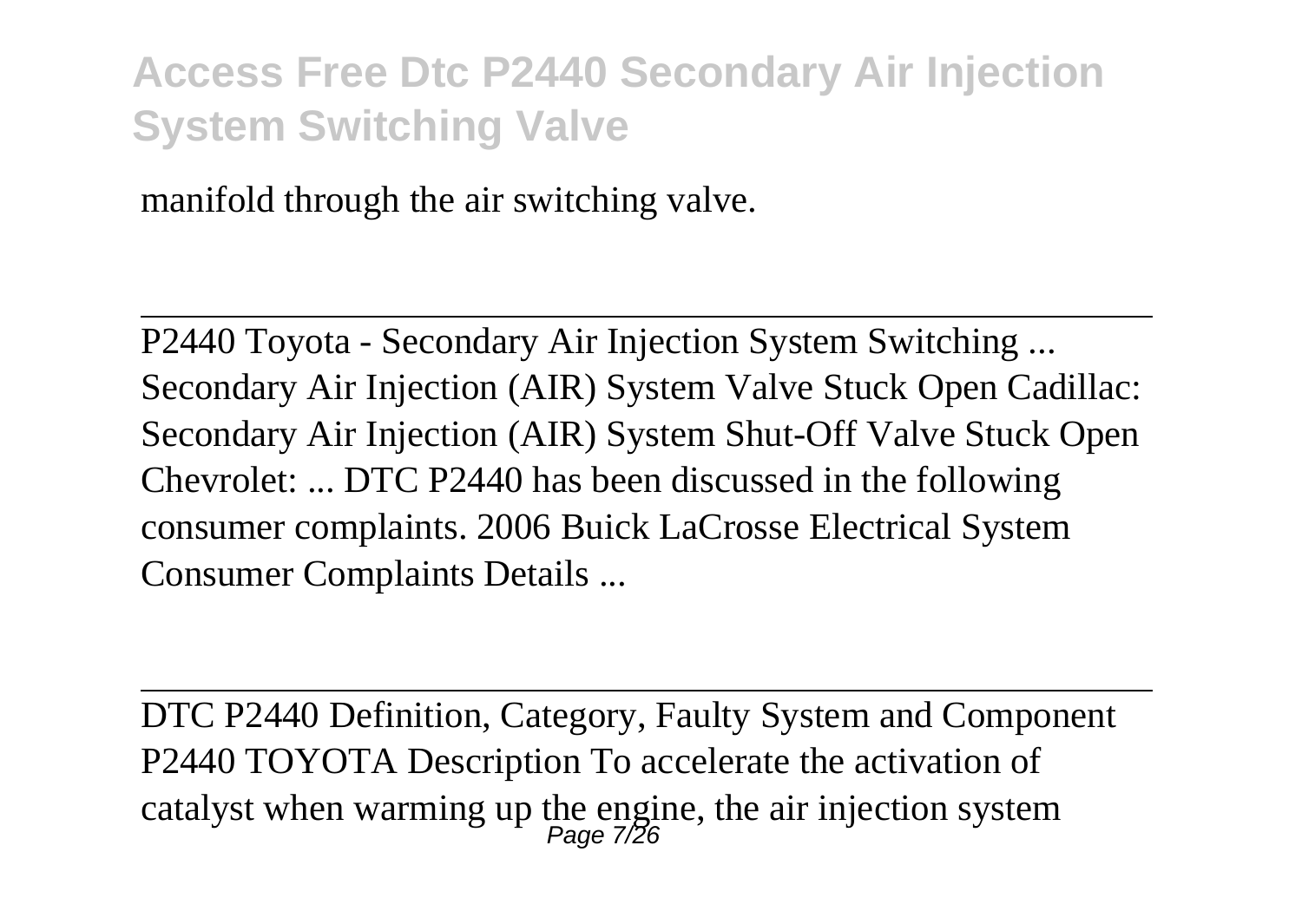manifold through the air switching valve.

P2440 Toyota - Secondary Air Injection System Switching ... Secondary Air Injection (AIR) System Valve Stuck Open Cadillac: Secondary Air Injection (AIR) System Shut-Off Valve Stuck Open Chevrolet: ... DTC P2440 has been discussed in the following consumer complaints. 2006 Buick LaCrosse Electrical System Consumer Complaints Details ...

DTC P2440 Definition, Category, Faulty System and Component P2440 TOYOTA Description To accelerate the activation of catalyst when warming up the engine, the air injection system<br> $P_{\text{age}}$  7/26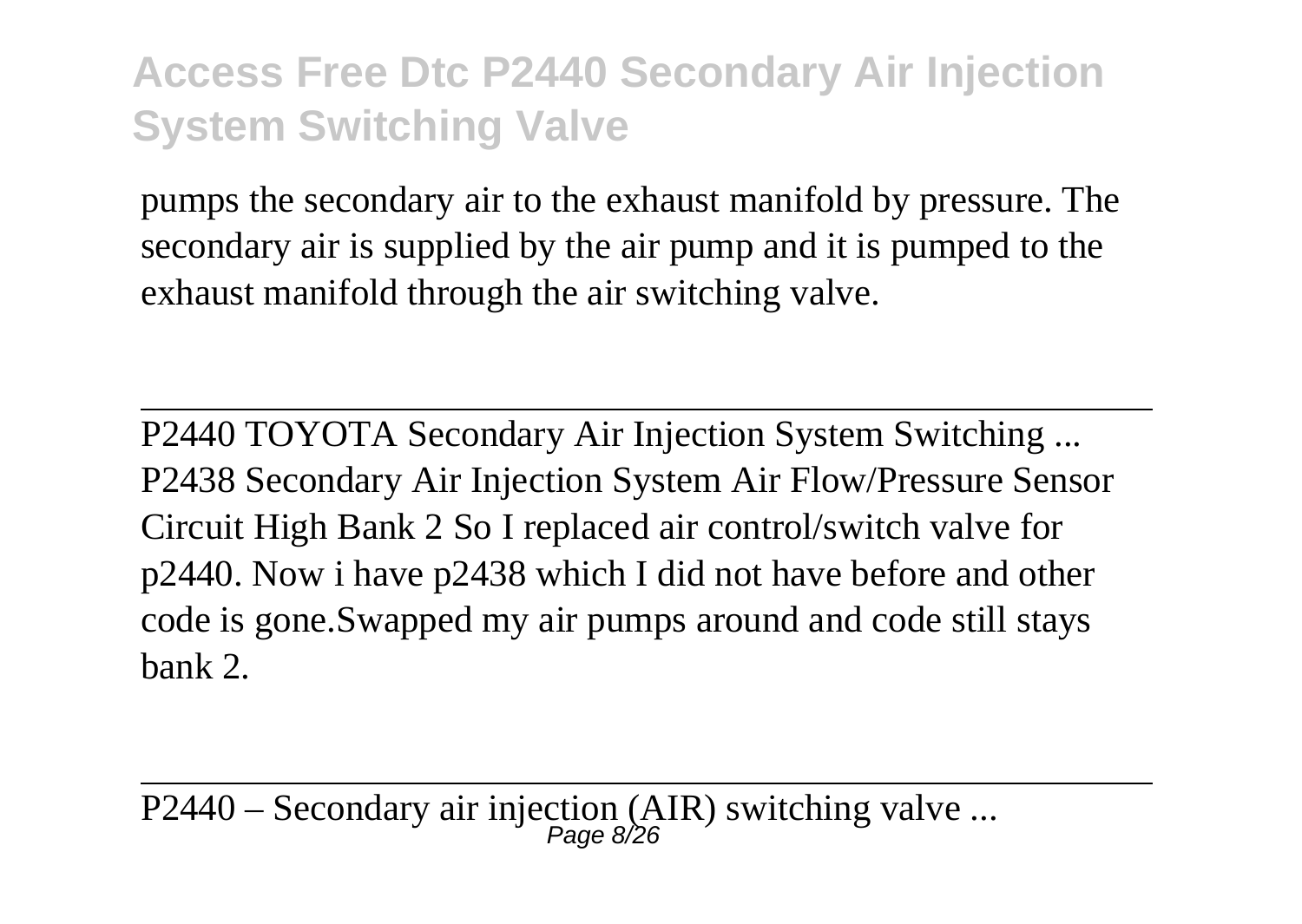pumps the secondary air to the exhaust manifold by pressure. The secondary air is supplied by the air pump and it is pumped to the exhaust manifold through the air switching valve.

P2440 TOYOTA Secondary Air Injection System Switching ... P2438 Secondary Air Injection System Air Flow/Pressure Sensor Circuit High Bank 2 So I replaced air control/switch valve for p2440. Now i have p2438 which I did not have before and other code is gone.Swapped my air pumps around and code still stays bank 2.

P2440 – Secondary air injection (AIR) switching valve ...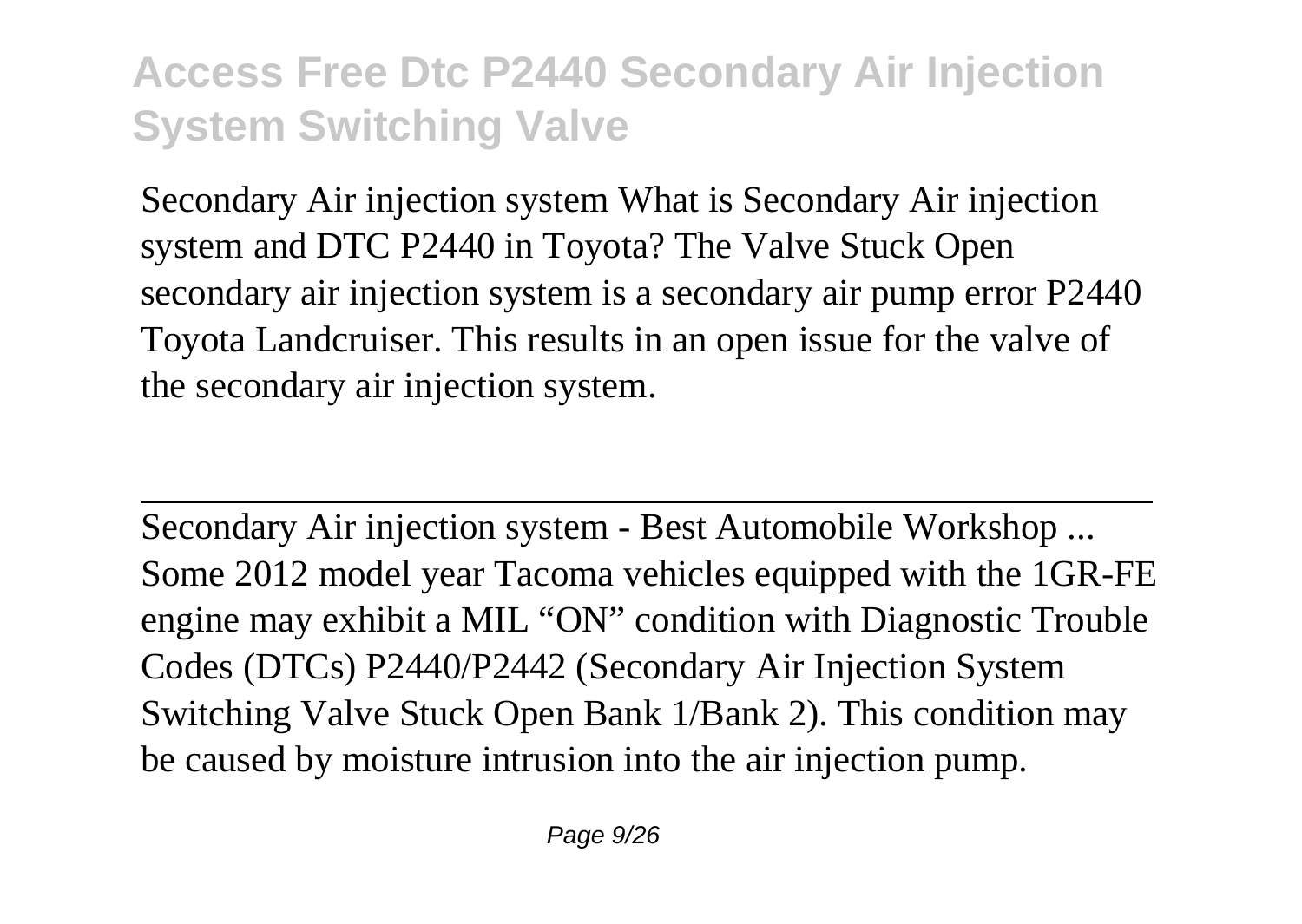Secondary Air injection system What is Secondary Air injection system and DTC P2440 in Toyota? The Valve Stuck Open secondary air injection system is a secondary air pump error P2440 Toyota Landcruiser. This results in an open issue for the valve of the secondary air injection system.

Secondary Air injection system - Best Automobile Workshop ... Some 2012 model year Tacoma vehicles equipped with the 1GR-FE engine may exhibit a MIL "ON" condition with Diagnostic Trouble Codes (DTCs) P2440/P2442 (Secondary Air Injection System Switching Valve Stuck Open Bank 1/Bank 2). This condition may be caused by moisture intrusion into the air injection pump.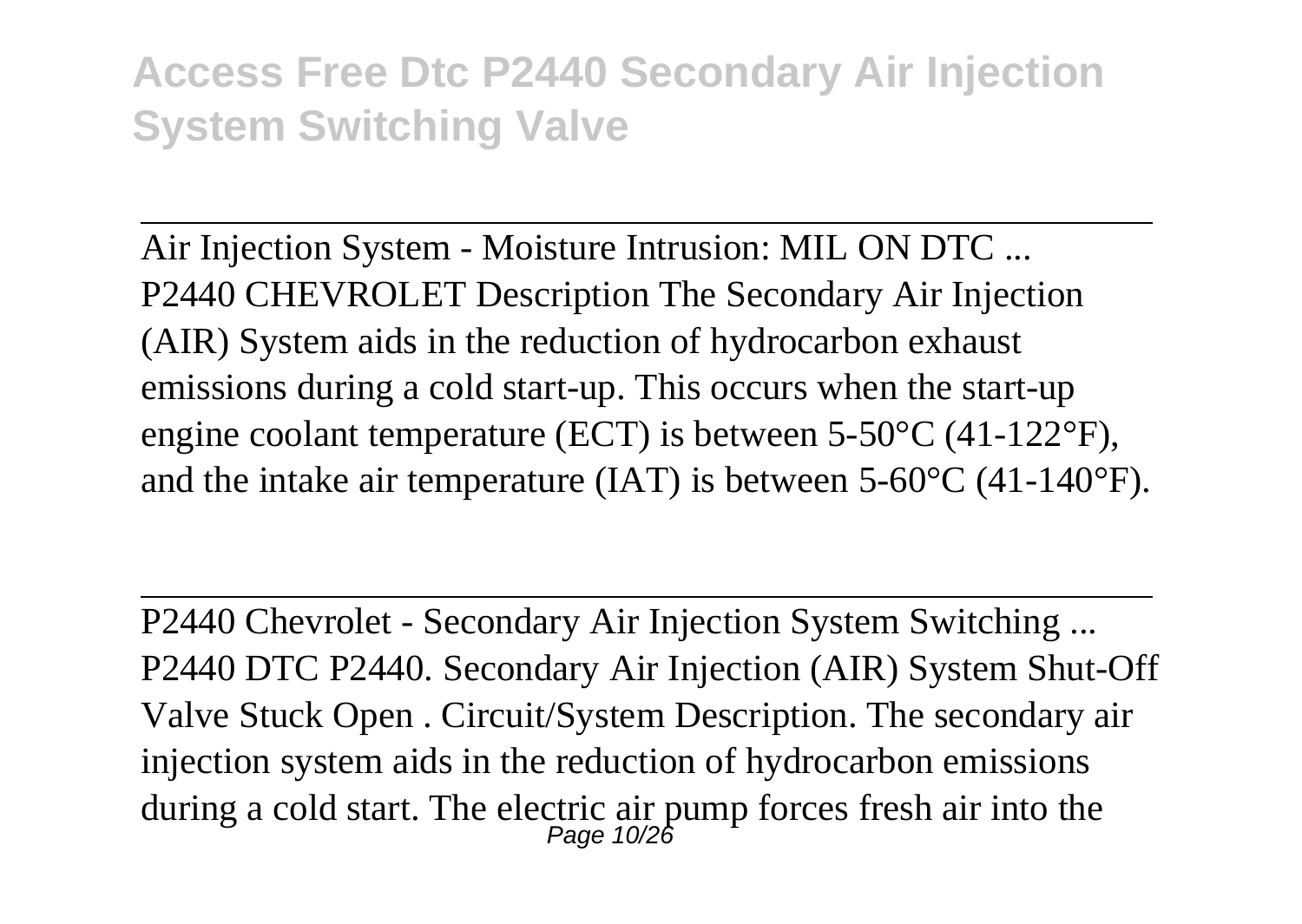Air Injection System - Moisture Intrusion: MIL ON DTC ... P2440 CHEVROLET Description The Secondary Air Injection (AIR) System aids in the reduction of hydrocarbon exhaust emissions during a cold start-up. This occurs when the start-up engine coolant temperature (ECT) is between 5-50°C (41-122°F), and the intake air temperature (IAT) is between 5-60°C (41-140°F).

P2440 Chevrolet - Secondary Air Injection System Switching ... P2440 DTC P2440. Secondary Air Injection (AIR) System Shut-Off Valve Stuck Open . Circuit/System Description. The secondary air injection system aids in the reduction of hydrocarbon emissions during a cold start. The electric air pump forces fresh air into the Page 10/26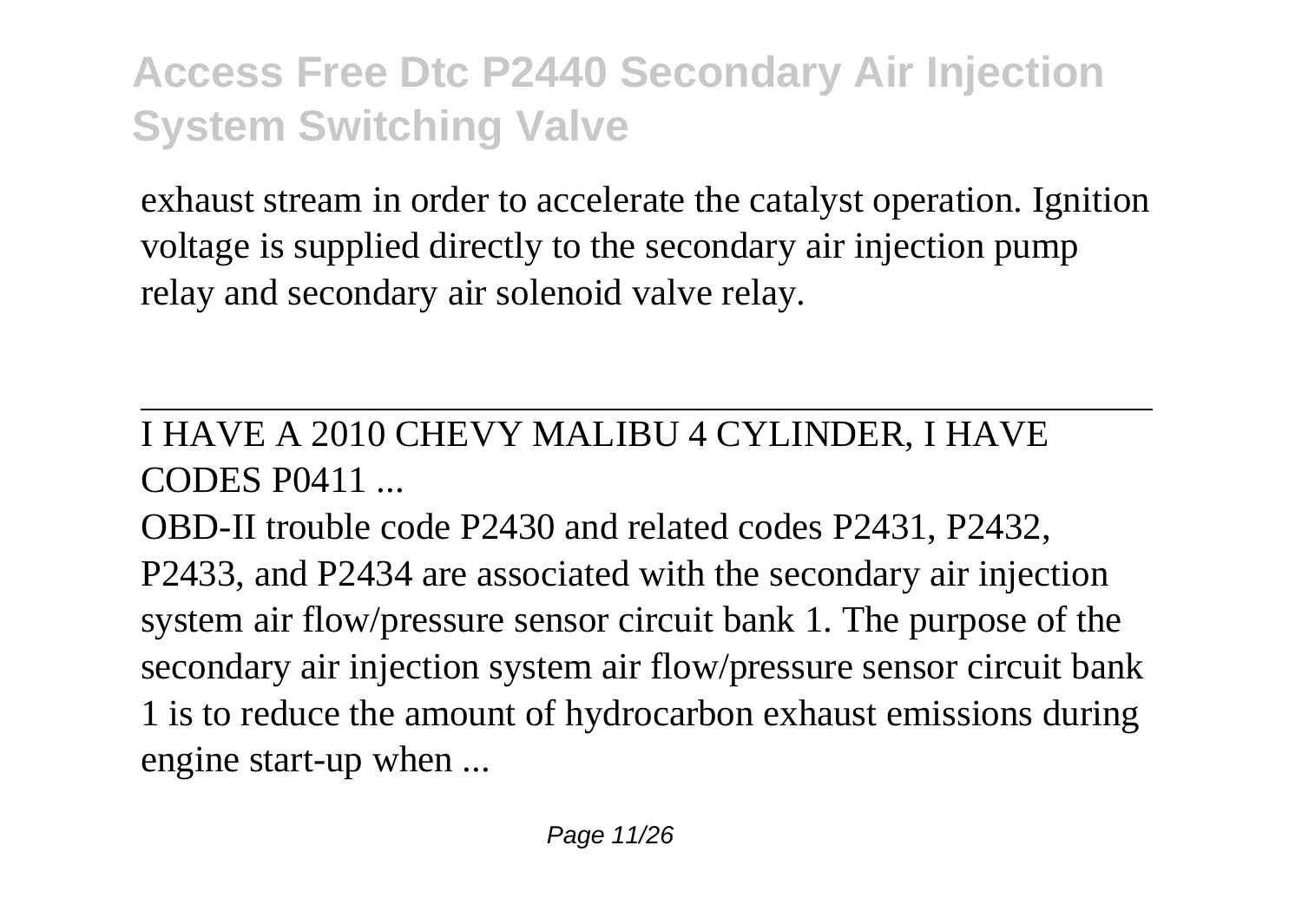exhaust stream in order to accelerate the catalyst operation. Ignition voltage is supplied directly to the secondary air injection pump relay and secondary air solenoid valve relay.

#### I HAVE A 2010 CHEVY MALIBU 4 CYLINDER, I HAVE CODES P0411 ...

OBD-II trouble code P2430 and related codes P2431, P2432, P2433, and P2434 are associated with the secondary air injection system air flow/pressure sensor circuit bank 1. The purpose of the secondary air injection system air flow/pressure sensor circuit bank 1 is to reduce the amount of hydrocarbon exhaust emissions during engine start-up when ...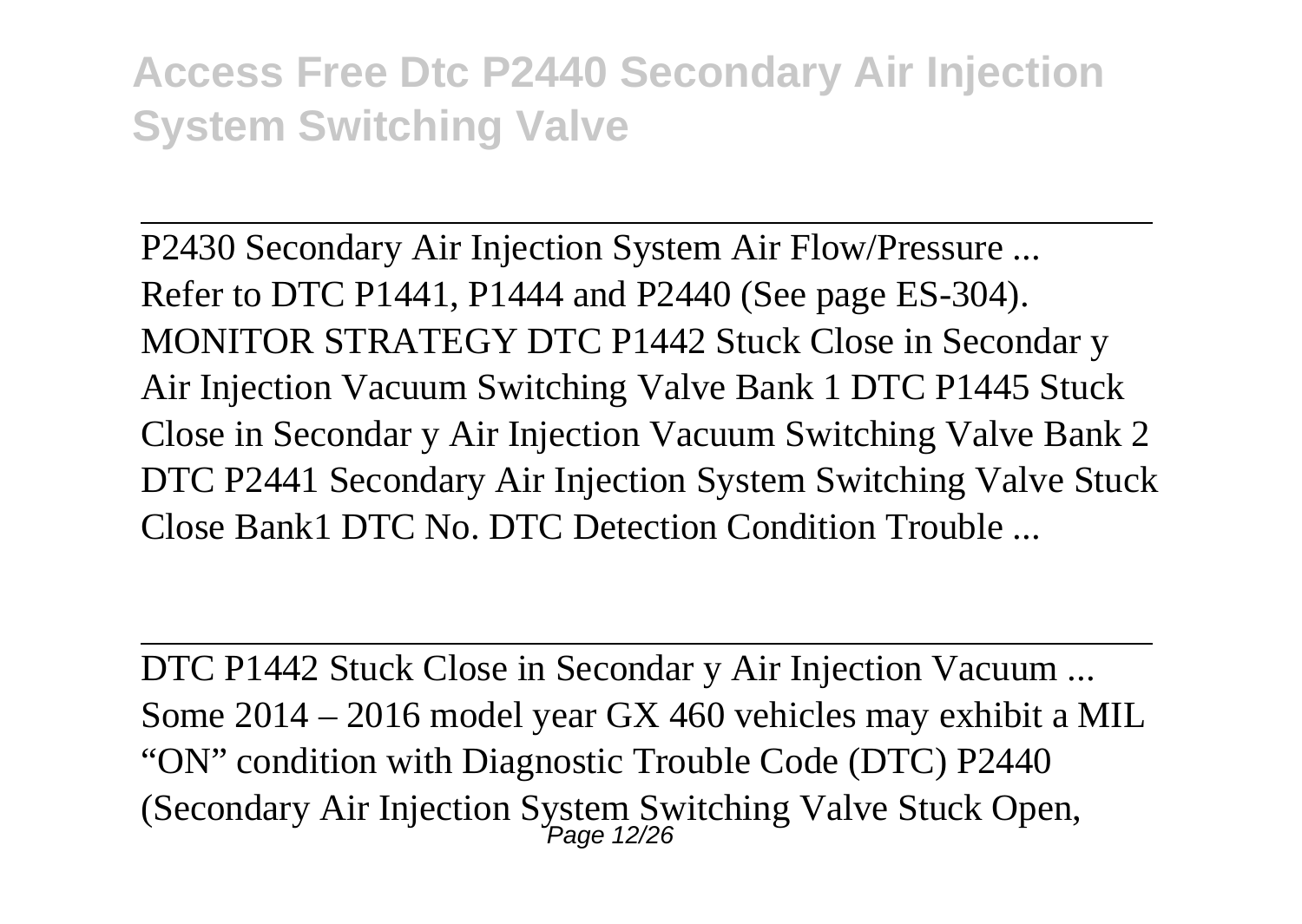P2430 Secondary Air Injection System Air Flow/Pressure ... Refer to DTC P1441, P1444 and P2440 (See page ES-304). MONITOR STRATEGY DTC P1442 Stuck Close in Secondar y Air Injection Vacuum Switching Valve Bank 1 DTC P1445 Stuck Close in Secondar y Air Injection Vacuum Switching Valve Bank 2 DTC P2441 Secondary Air Injection System Switching Valve Stuck Close Bank1 DTC No. DTC Detection Condition Trouble ...

DTC P1442 Stuck Close in Secondar y Air Injection Vacuum ... Some 2014 – 2016 model year GX 460 vehicles may exhibit a MIL "ON" condition with Diagnostic Trouble Code (DTC) P2440 (Secondary Air Injection System Switching Valve Stuck Open, Page 12/26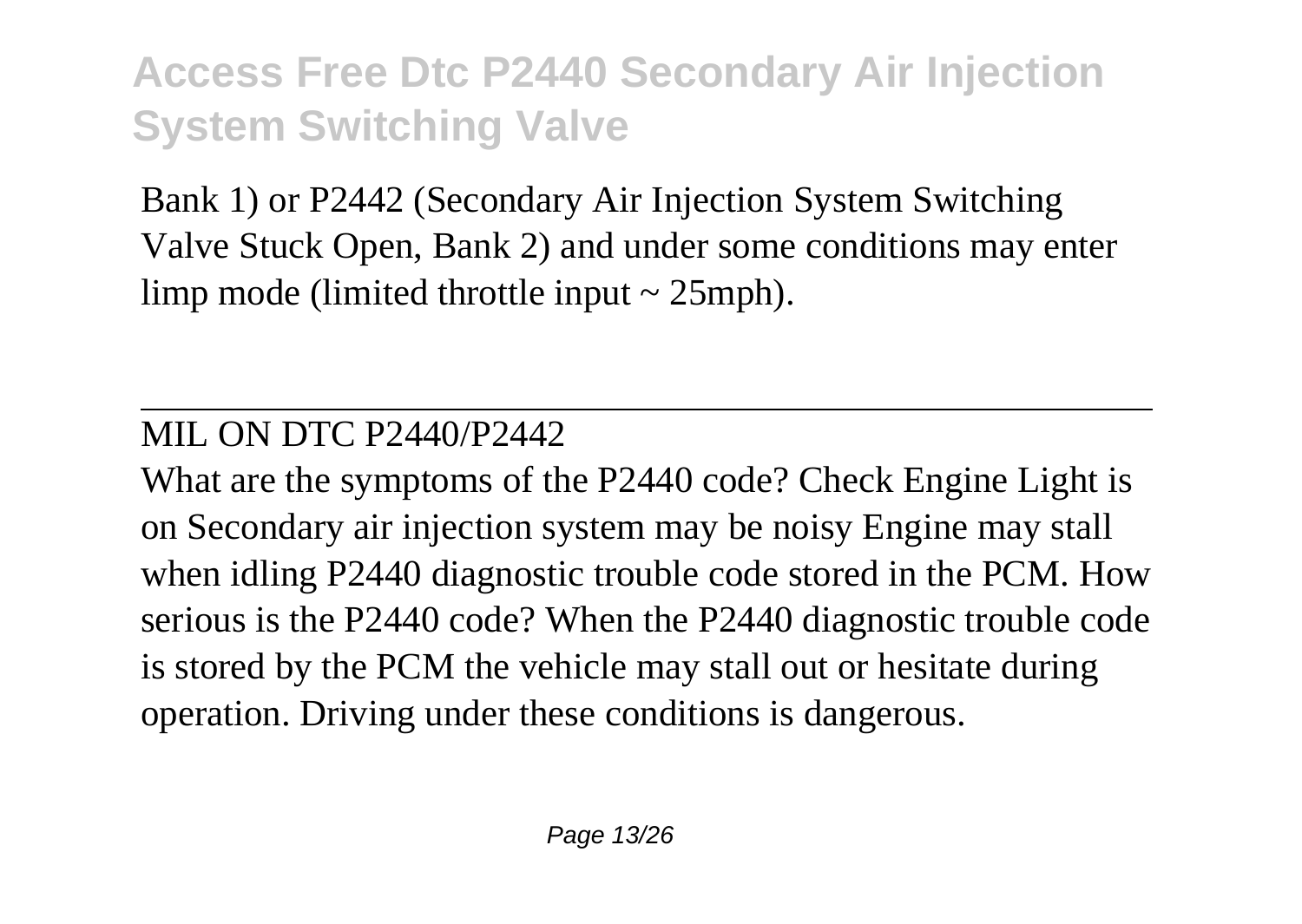Bank 1) or P2442 (Secondary Air Injection System Switching Valve Stuck Open, Bank 2) and under some conditions may enter limp mode (limited throttle input  $\sim$  25mph).

#### MIL ON DTC P2440/P2442

What are the symptoms of the P2440 code? Check Engine Light is on Secondary air injection system may be noisy Engine may stall when idling P2440 diagnostic trouble code stored in the PCM. How serious is the P2440 code? When the P2440 diagnostic trouble code is stored by the PCM the vehicle may stall out or hesitate during operation. Driving under these conditions is dangerous.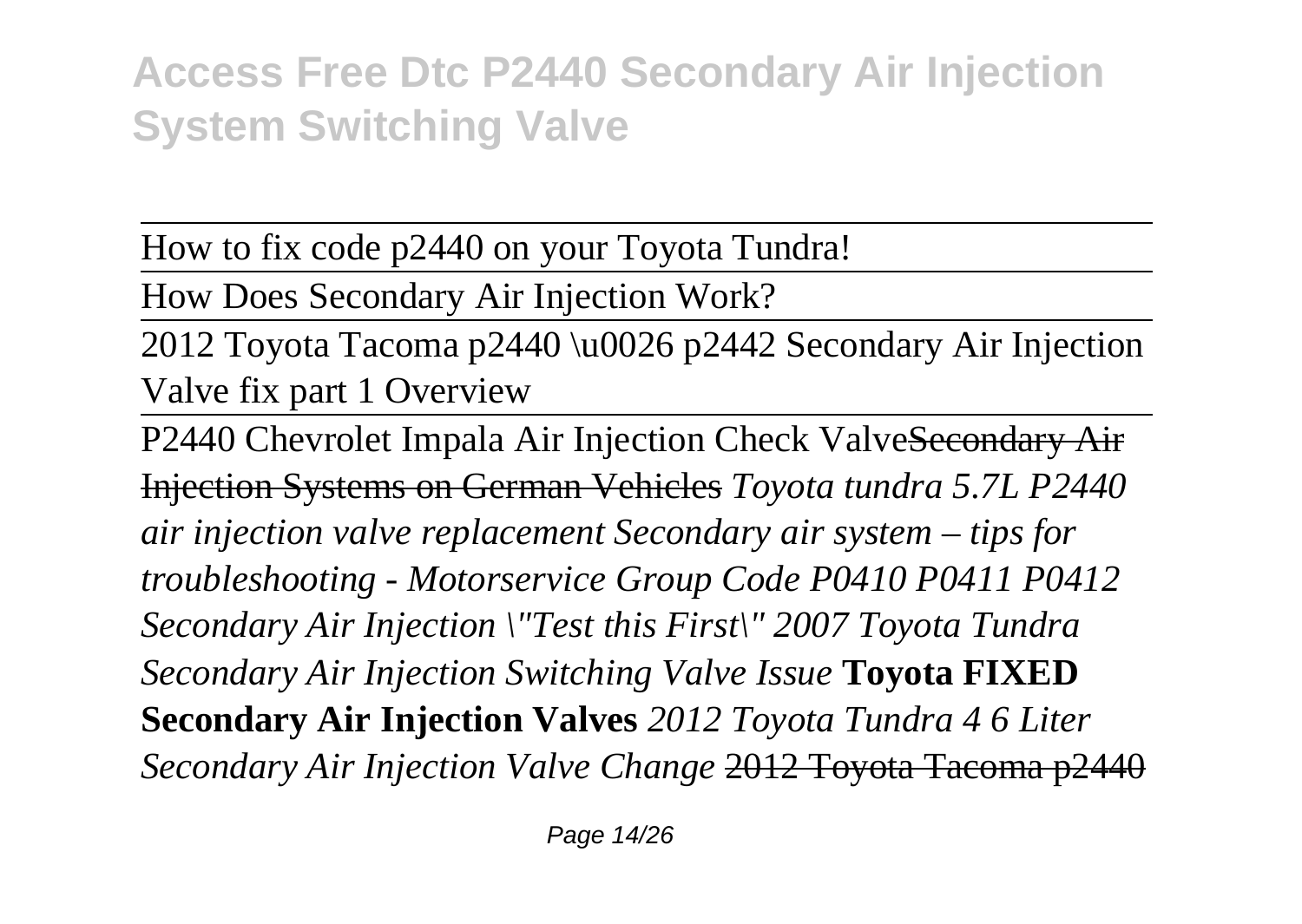How to fix code p2440 on your Toyota Tundra!

How Does Secondary Air Injection Work?

2012 Toyota Tacoma p2440 \u0026 p2442 Secondary Air Injection Valve fix part 1 Overview

P2440 Chevrolet Impala Air Injection Check ValveSecondary Air Injection Systems on German Vehicles *Toyota tundra 5.7L P2440 air injection valve replacement Secondary air system – tips for troubleshooting - Motorservice Group Code P0410 P0411 P0412 Secondary Air Injection \"Test this First\" 2007 Toyota Tundra Secondary Air Injection Switching Valve Issue* **Toyota FIXED Secondary Air Injection Valves** *2012 Toyota Tundra 4 6 Liter Secondary Air Injection Valve Change* 2012 Toyota Tacoma p2440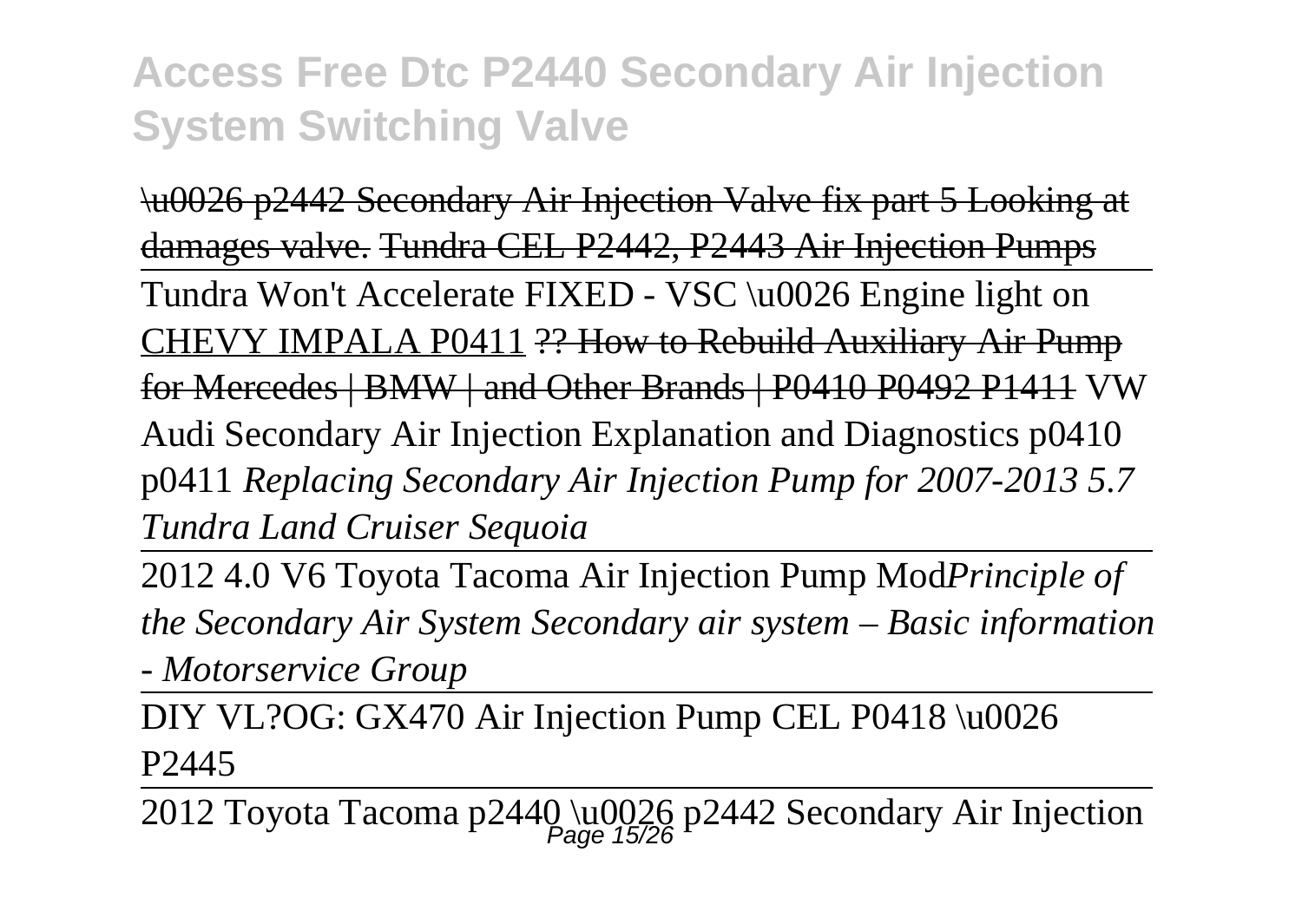\u0026 p2442 Secondary Air Injection Valve fix part 5 Looking at damages valve. Tundra CEL P2442, P2443 Air Injection Pumps Tundra Won't Accelerate FIXED - VSC \u0026 Engine light on CHEVY IMPALA P0411 ?? How to Rebuild Auxiliary Air Pump for Mercedes | BMW | and Other Brands | P0410 P0492 P1411 VW Audi Secondary Air Injection Explanation and Diagnostics p0410 p0411 *Replacing Secondary Air Injection Pump for 2007-2013 5.7 Tundra Land Cruiser Sequoia*

2012 4.0 V6 Toyota Tacoma Air Injection Pump Mod*Principle of the Secondary Air System Secondary air system – Basic information - Motorservice Group*

DIY VL?OG: GX470 Air Injection Pump CEL P0418 \u0026 P2445

2012 Toyota Tacoma p2440 \u0026 p2442 Secondary Air Injection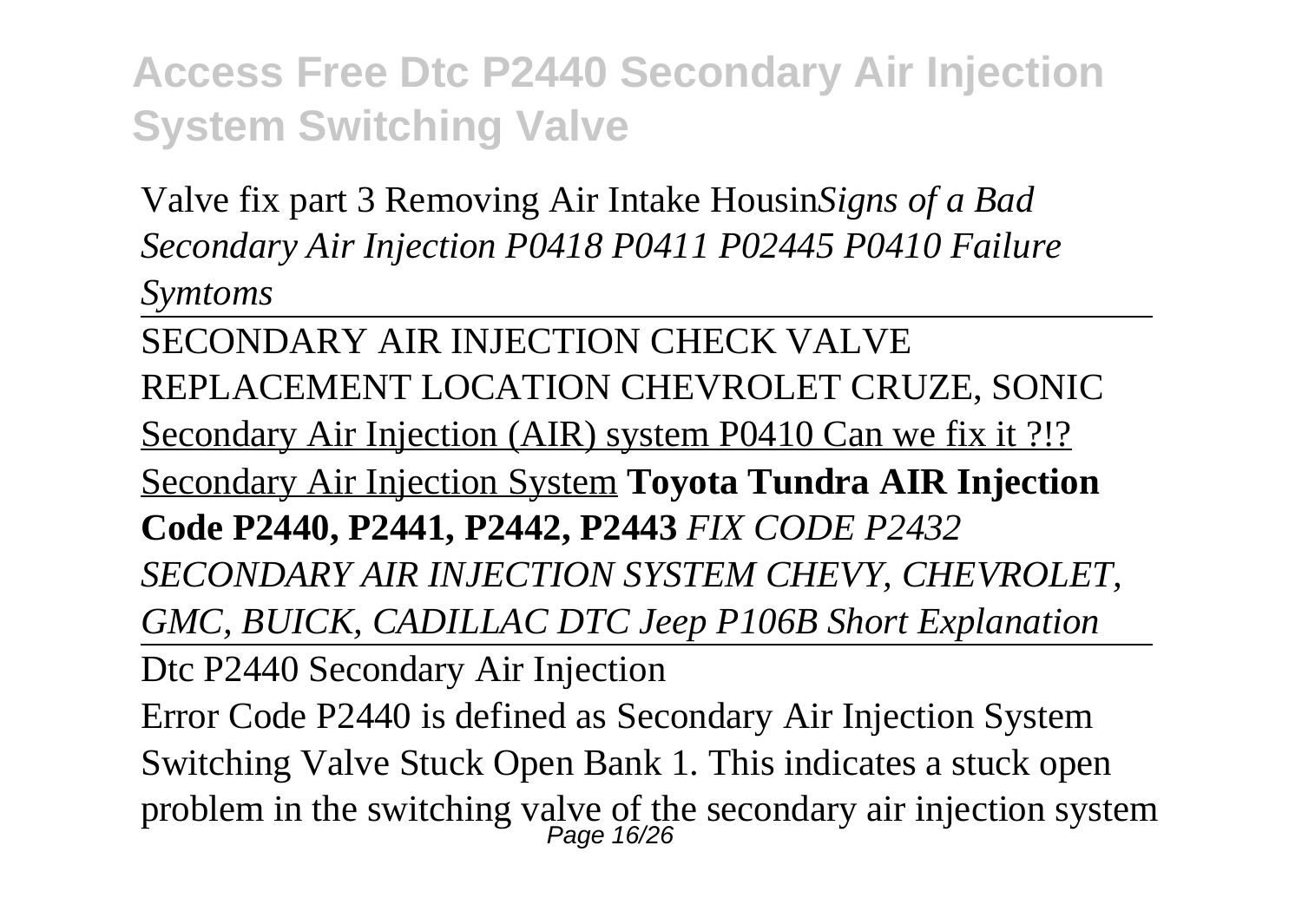Valve fix part 3 Removing Air Intake Housin*Signs of a Bad Secondary Air Injection P0418 P0411 P02445 P0410 Failure Symtoms*

SECONDARY AIR INJECTION CHECK VALVE REPLACEMENT LOCATION CHEVROLET CRUZE, SONIC Secondary Air Injection (AIR) system P0410 Can we fix it ?!? Secondary Air Injection System **Toyota Tundra AIR Injection Code P2440, P2441, P2442, P2443** *FIX CODE P2432 SECONDARY AIR INJECTION SYSTEM CHEVY, CHEVROLET, GMC, BUICK, CADILLAC DTC Jeep P106B Short Explanation*

Dtc P2440 Secondary Air Injection

Error Code P2440 is defined as Secondary Air Injection System Switching Valve Stuck Open Bank 1. This indicates a stuck open problem in the switching valve of the secondary air injection system<br>  $\frac{Page 16}{26}$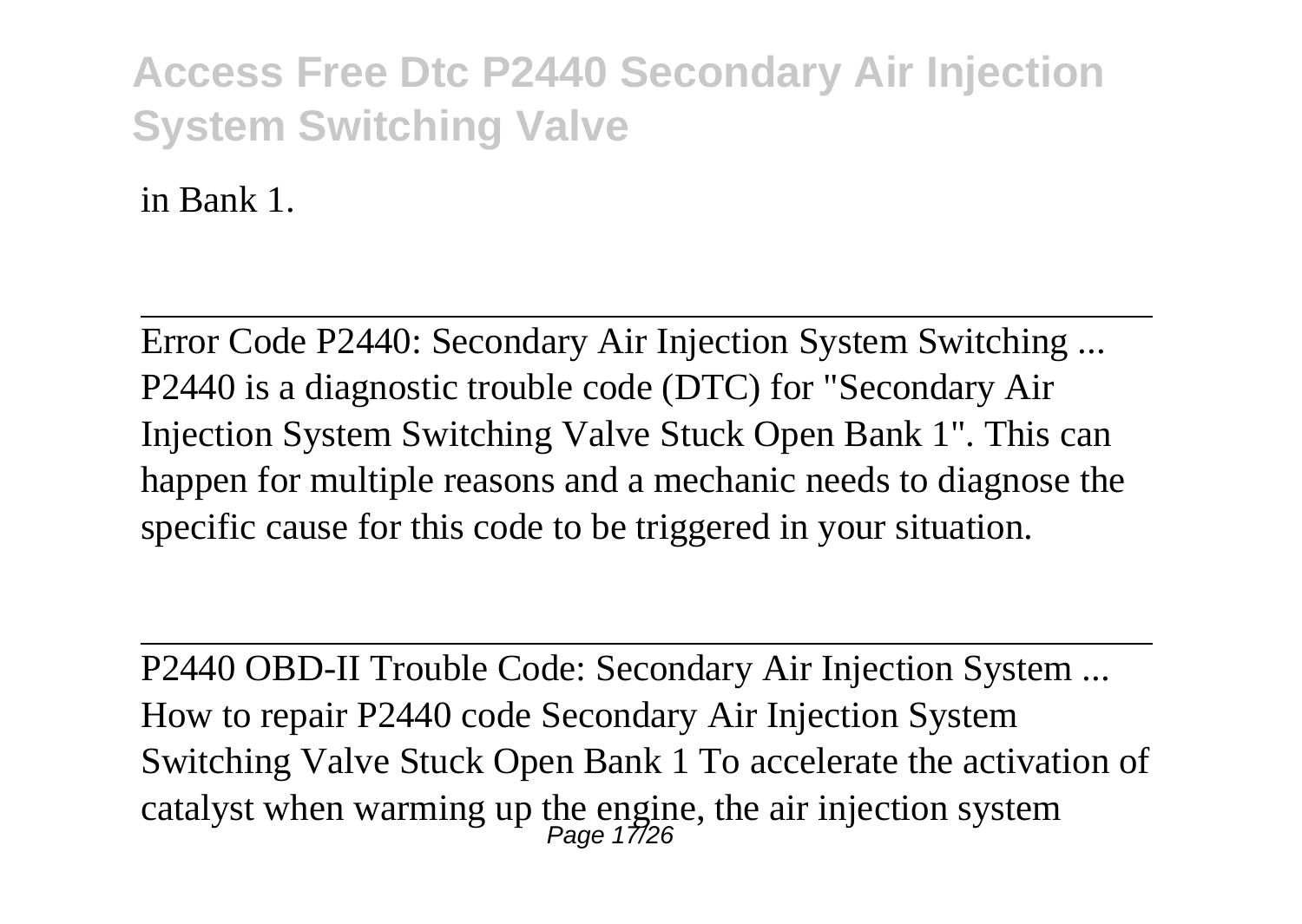in Bank 1.

Error Code P2440: Secondary Air Injection System Switching ... P2440 is a diagnostic trouble code (DTC) for "Secondary Air Injection System Switching Valve Stuck Open Bank 1". This can happen for multiple reasons and a mechanic needs to diagnose the specific cause for this code to be triggered in your situation.

P2440 OBD-II Trouble Code: Secondary Air Injection System ... How to repair P2440 code Secondary Air Injection System Switching Valve Stuck Open Bank 1 To accelerate the activation of catalyst when warming up the engine, the air injection system<br> $P_{\text{age}}$  17/26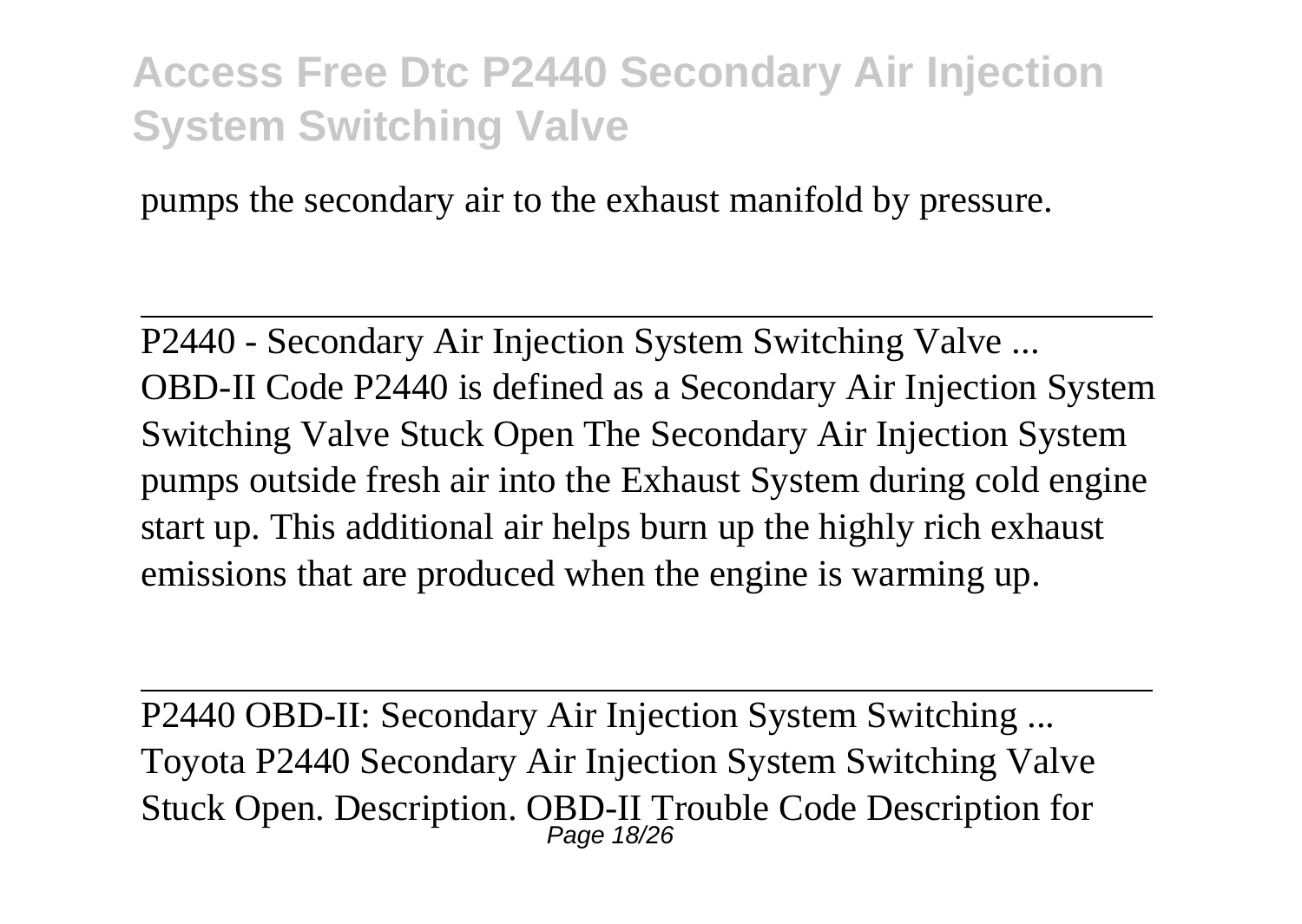pumps the secondary air to the exhaust manifold by pressure.

P2440 - Secondary Air Injection System Switching Valve ... OBD-II Code P2440 is defined as a Secondary Air Injection System Switching Valve Stuck Open The Secondary Air Injection System pumps outside fresh air into the Exhaust System during cold engine start up. This additional air helps burn up the highly rich exhaust emissions that are produced when the engine is warming up.

P2440 OBD-II: Secondary Air Injection System Switching ... Toyota P2440 Secondary Air Injection System Switching Valve Stuck Open. Description. OBD-II Trouble Code Description for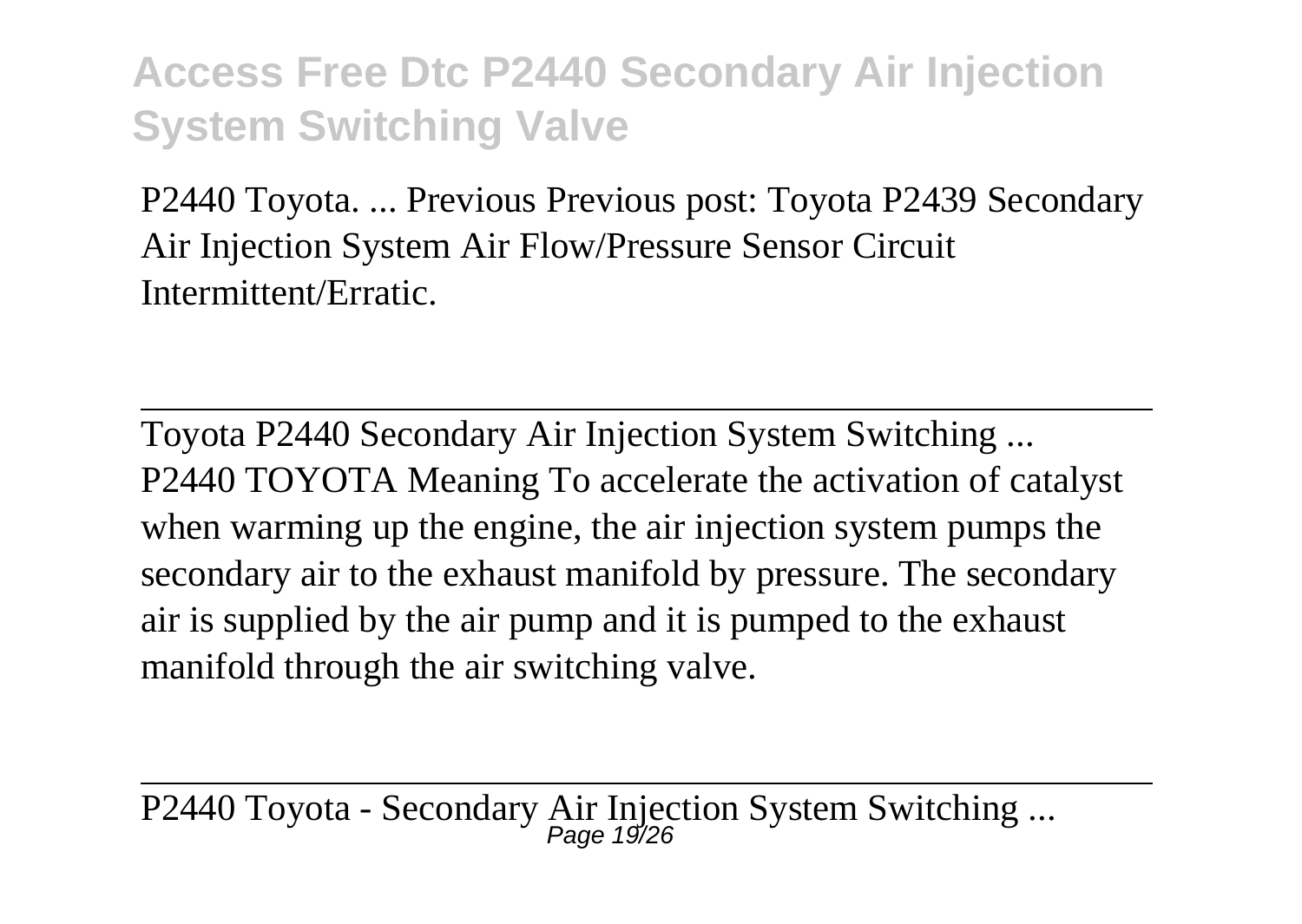P2440 Toyota. ... Previous Previous post: Toyota P2439 Secondary Air Injection System Air Flow/Pressure Sensor Circuit Intermittent/Erratic.

Toyota P2440 Secondary Air Injection System Switching ... P2440 TOYOTA Meaning To accelerate the activation of catalyst when warming up the engine, the air injection system pumps the secondary air to the exhaust manifold by pressure. The secondary air is supplied by the air pump and it is pumped to the exhaust manifold through the air switching valve.

P2440 Toyota - Secondary Air Injection System Switching ...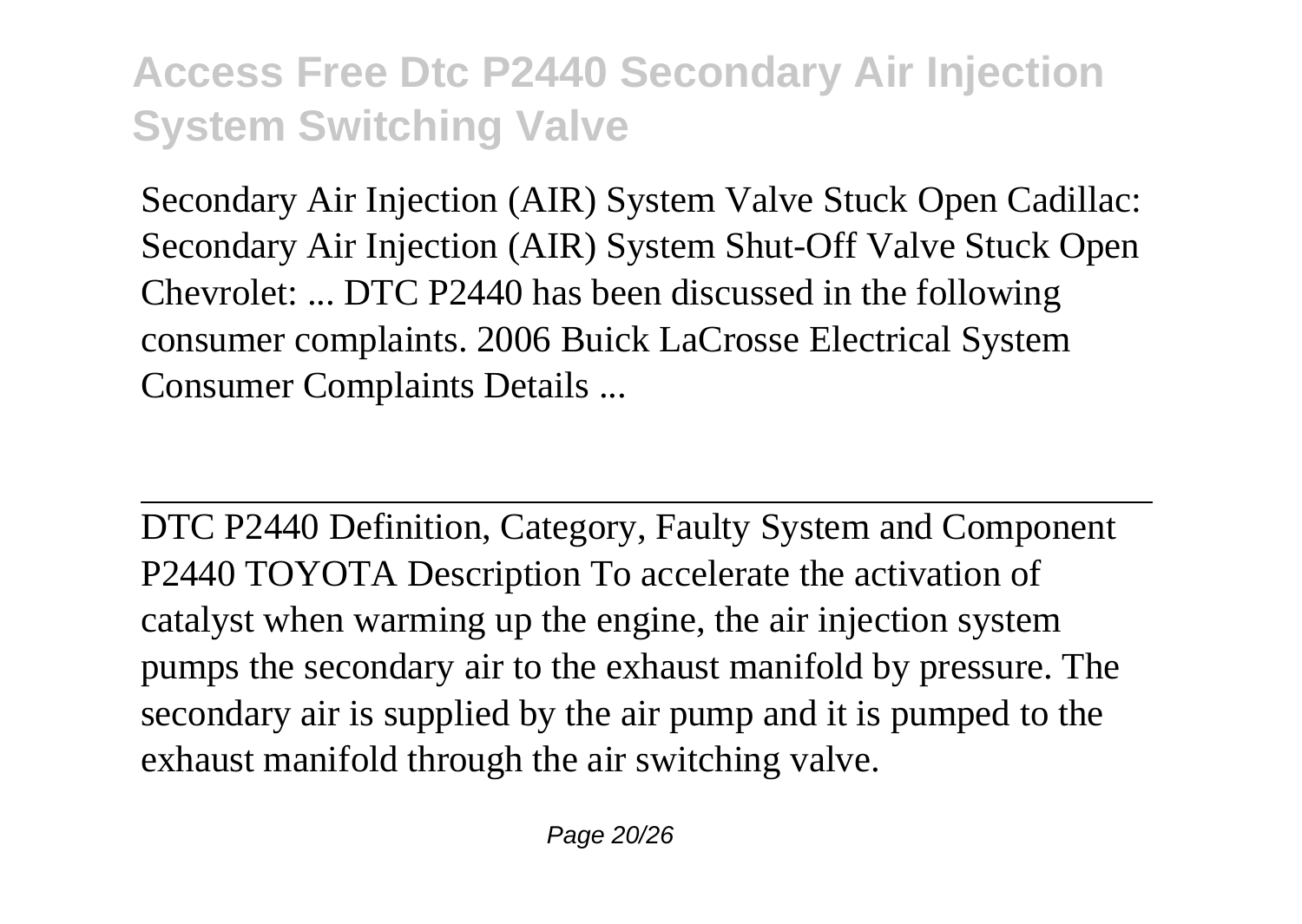Secondary Air Injection (AIR) System Valve Stuck Open Cadillac: Secondary Air Injection (AIR) System Shut-Off Valve Stuck Open Chevrolet: ... DTC P2440 has been discussed in the following consumer complaints. 2006 Buick LaCrosse Electrical System Consumer Complaints Details ...

DTC P2440 Definition, Category, Faulty System and Component P2440 TOYOTA Description To accelerate the activation of catalyst when warming up the engine, the air injection system pumps the secondary air to the exhaust manifold by pressure. The secondary air is supplied by the air pump and it is pumped to the exhaust manifold through the air switching valve.

Page 20/26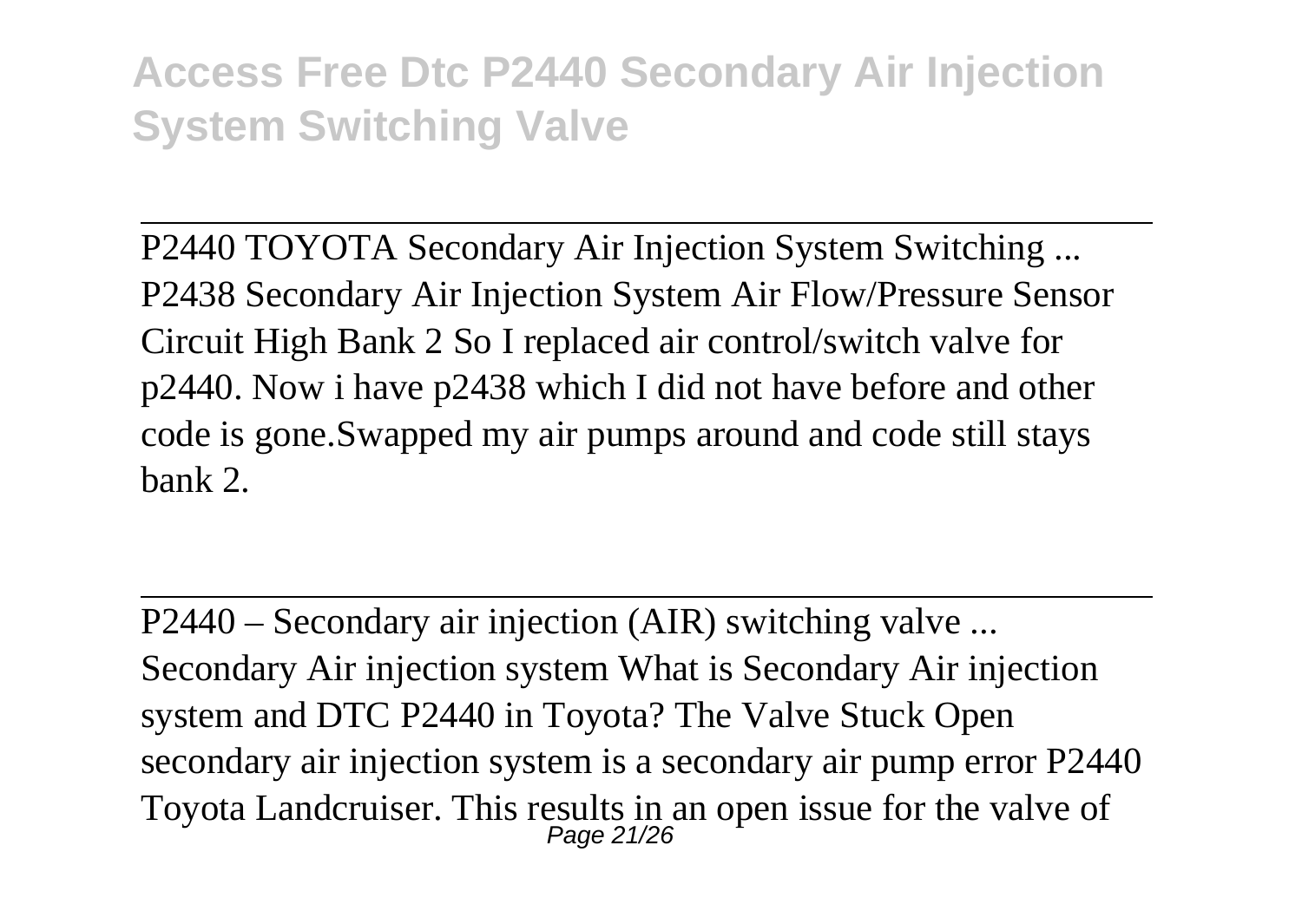P2440 TOYOTA Secondary Air Injection System Switching ... P2438 Secondary Air Injection System Air Flow/Pressure Sensor Circuit High Bank 2 So I replaced air control/switch valve for p2440. Now i have p2438 which I did not have before and other code is gone.Swapped my air pumps around and code still stays bank 2.

P2440 – Secondary air injection (AIR) switching valve ... Secondary Air injection system What is Secondary Air injection system and DTC P2440 in Toyota? The Valve Stuck Open secondary air injection system is a secondary air pump error P2440 Toyota Landcruiser. This results in an open issue for the valve of Page 21/26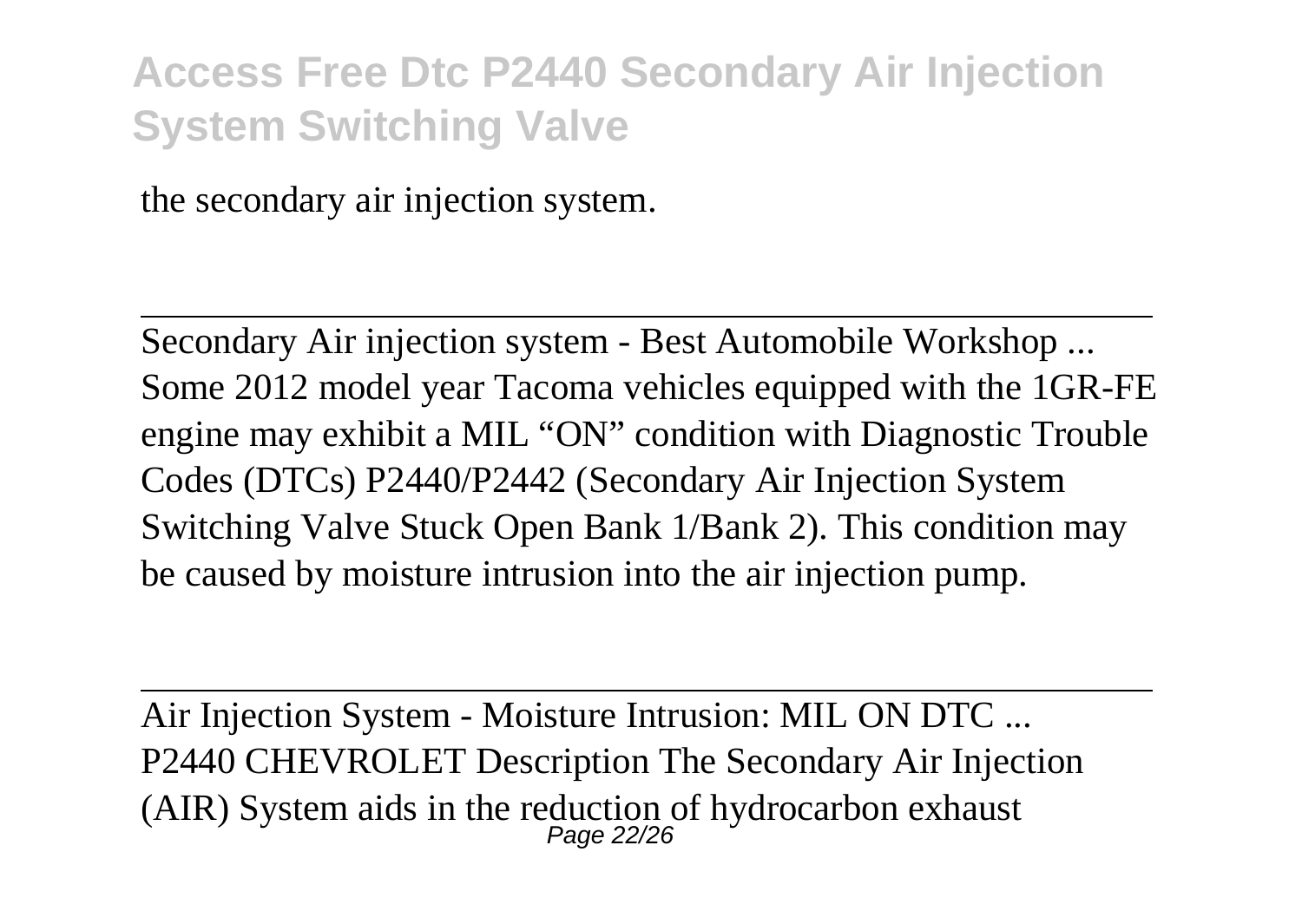the secondary air injection system.

Secondary Air injection system - Best Automobile Workshop ... Some 2012 model year Tacoma vehicles equipped with the 1GR-FE engine may exhibit a MIL "ON" condition with Diagnostic Trouble Codes (DTCs) P2440/P2442 (Secondary Air Injection System Switching Valve Stuck Open Bank 1/Bank 2). This condition may be caused by moisture intrusion into the air injection pump.

Air Injection System - Moisture Intrusion: MIL ON DTC ... P2440 CHEVROLET Description The Secondary Air Injection (AIR) System aids in the reduction of hydrocarbon exhaust  $_{Page\ 22/26}^{Page\ 22/26}$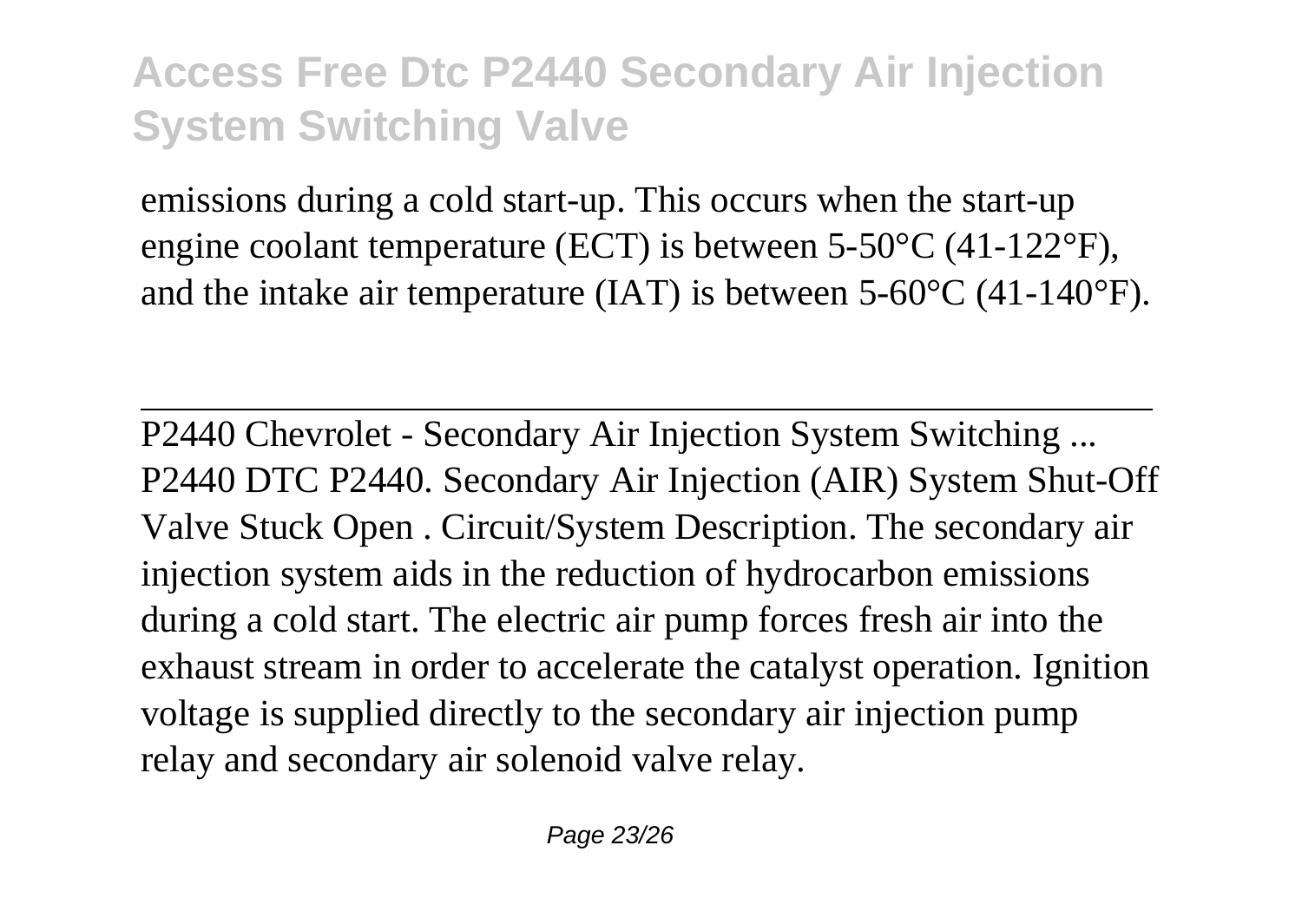emissions during a cold start-up. This occurs when the start-up engine coolant temperature (ECT) is between 5-50°C (41-122°F), and the intake air temperature (IAT) is between 5-60°C (41-140°F).

P2440 Chevrolet - Secondary Air Injection System Switching ... P2440 DTC P2440. Secondary Air Injection (AIR) System Shut-Off Valve Stuck Open . Circuit/System Description. The secondary air injection system aids in the reduction of hydrocarbon emissions during a cold start. The electric air pump forces fresh air into the exhaust stream in order to accelerate the catalyst operation. Ignition voltage is supplied directly to the secondary air injection pump relay and secondary air solenoid valve relay.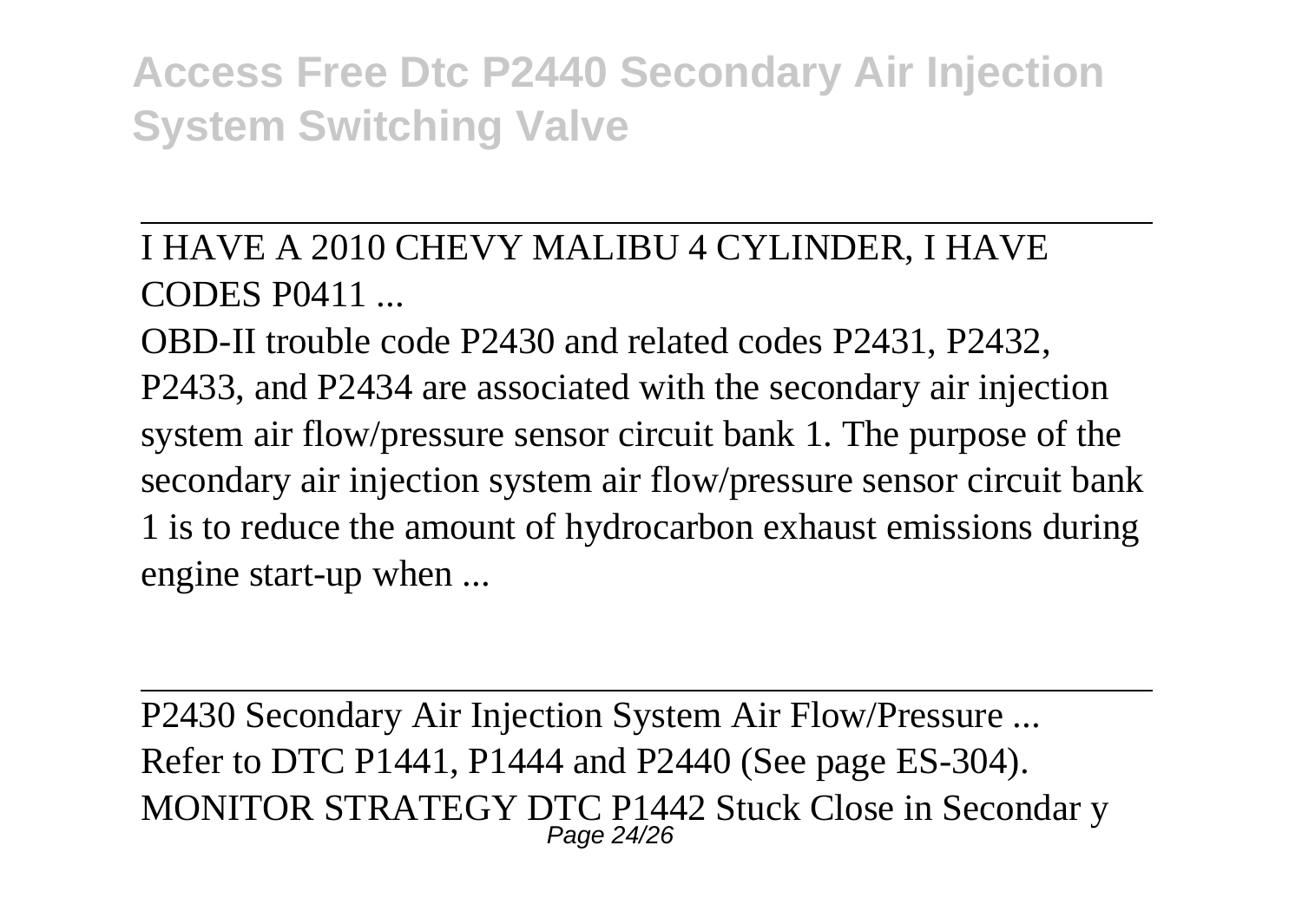I HAVE A 2010 CHEVY MALIBU 4 CYLINDER, I HAVE CODES P0411 ...

OBD-II trouble code P2430 and related codes P2431, P2432, P2433, and P2434 are associated with the secondary air injection system air flow/pressure sensor circuit bank 1. The purpose of the secondary air injection system air flow/pressure sensor circuit bank 1 is to reduce the amount of hydrocarbon exhaust emissions during engine start-up when ...

P2430 Secondary Air Injection System Air Flow/Pressure ... Refer to DTC P1441, P1444 and P2440 (See page ES-304). MONITOR STRATEGY DTC P1442 Stuck Close in Secondar y Page 24/26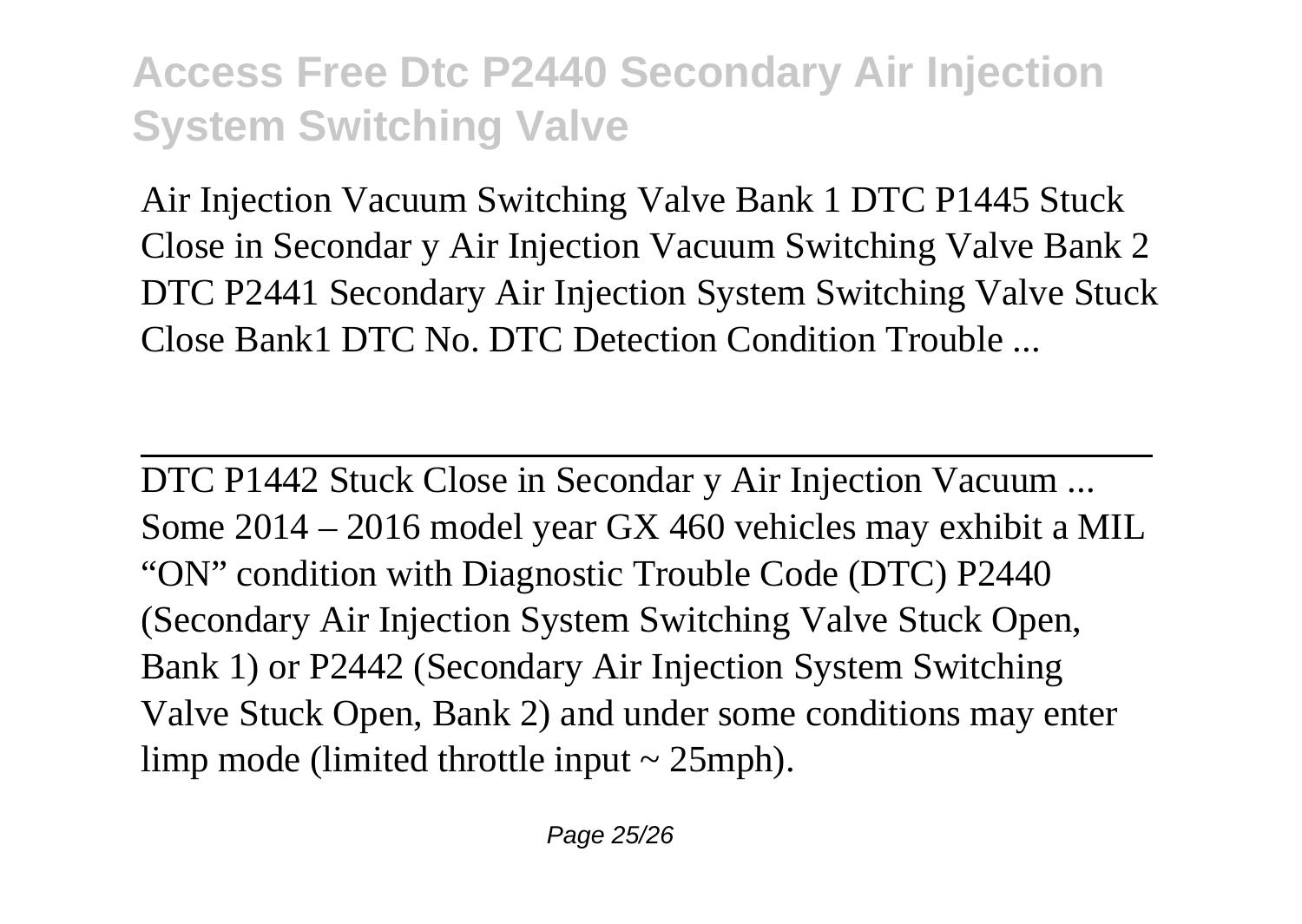Air Injection Vacuum Switching Valve Bank 1 DTC P1445 Stuck Close in Secondar y Air Injection Vacuum Switching Valve Bank 2 DTC P2441 Secondary Air Injection System Switching Valve Stuck Close Bank1 DTC No. DTC Detection Condition Trouble ...

DTC P1442 Stuck Close in Secondar y Air Injection Vacuum ... Some 2014 – 2016 model year GX 460 vehicles may exhibit a MIL "ON" condition with Diagnostic Trouble Code (DTC) P2440 (Secondary Air Injection System Switching Valve Stuck Open, Bank 1) or P2442 (Secondary Air Injection System Switching Valve Stuck Open, Bank 2) and under some conditions may enter limp mode (limited throttle input  $\sim$  25mph).